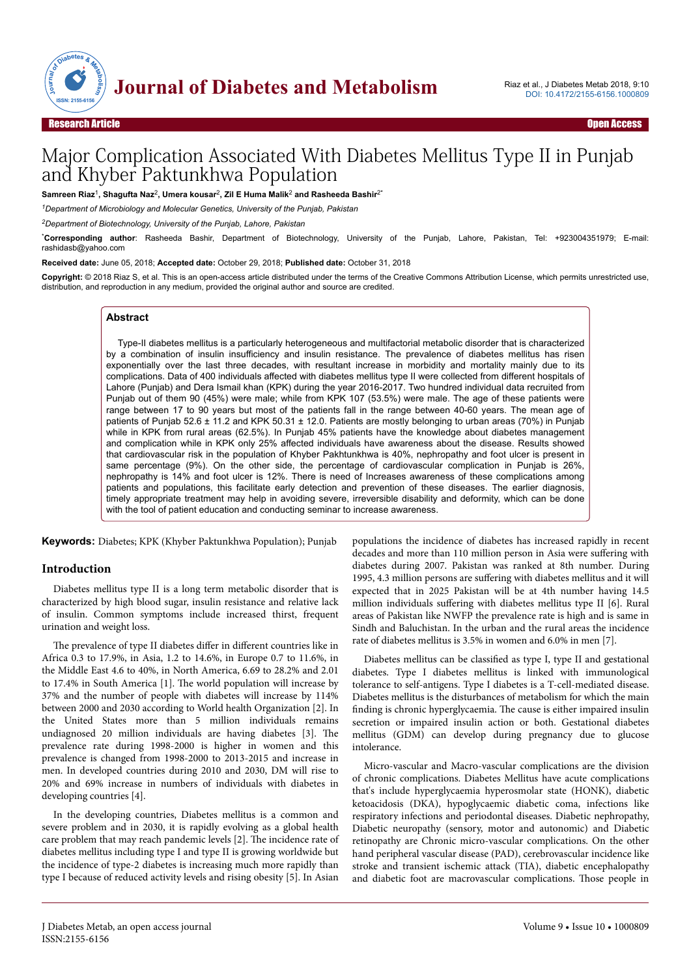

# Major Complication Associated With Diabetes Mellitus Type II in Punjab and Khyber Paktunkhwa Population

Samreen Riaz<sup>1</sup>, Shagufta Naz<sup>2</sup>, Umera kousar<sup>2</sup>, Zil E Huma Malik<sup>2</sup> and Rasheeda Bashir<sup>2\*</sup>

*<sup>1</sup>Department of Microbiology and Molecular Genetics, University of the Punjab, Pakistan*

*<sup>2</sup>Department of Biotechnology, University of the Punjab, Lahore, Pakistan*

\***Corresponding author**: Rasheeda Bashir, Department of Biotechnology, University of the Punjab, Lahore, Pakistan, Tel: +923004351979; E-mail: rashidasb@yahoo.com

**Received date:** June 05, 2018; **Accepted date:** October 29, 2018; **Published date:** October 31, 2018

**Copyright:** © 2018 Riaz S, et al. This is an open-access article distributed under the terms of the Creative Commons Attribution License, which permits unrestricted use, distribution, and reproduction in any medium, provided the original author and source are credited.

#### **Abstract**

Type-II diabetes mellitus is a particularly heterogeneous and multifactorial metabolic disorder that is characterized by a combination of insulin insufficiency and insulin resistance. The prevalence of diabetes mellitus has risen exponentially over the last three decades, with resultant increase in morbidity and mortality mainly due to its complications. Data of 400 individuals affected with diabetes mellitus type II were collected from different hospitals of Lahore (Punjab) and Dera Ismail khan (KPK) during the year 2016-2017. Two hundred individual data recruited from Punjab out of them 90 (45%) were male; while from KPK 107 (53.5%) were male. The age of these patients were range between 17 to 90 years but most of the patients fall in the range between 40-60 years. The mean age of patients of Punjab 52.6 ± 11.2 and KPK 50.31 ± 12.0. Patients are mostly belonging to urban areas (70%) in Punjab while in KPK from rural areas (62.5%). In Punjab 45% patients have the knowledge about diabetes management and complication while in KPK only 25% affected individuals have awareness about the disease. Results showed that cardiovascular risk in the population of Khyber Pakhtunkhwa is 40%, nephropathy and foot ulcer is present in same percentage (9%). On the other side, the percentage of cardiovascular complication in Punjab is 26%. nephropathy is 14% and foot ulcer is 12%. There is need of Increases awareness of these complications among patients and populations, this facilitate early detection and prevention of these diseases. The earlier diagnosis, timely appropriate treatment may help in avoiding severe, irreversible disability and deformity, which can be done with the tool of patient education and conducting seminar to increase awareness.

**Keywords:** Diabetes; KPK (Khyber Paktunkhwa Population); Punjab

# **Introduction**

Diabetes mellitus type II is a long term metabolic disorder that is characterized by high blood sugar, insulin resistance and relative lack of insulin. Common symptoms include increased thirst, frequent urination and weight loss.

The prevalence of type II diabetes differ in different countries like in Africa 0.3 to 17.9%, in Asia, 1.2 to 14.6%, in Europe 0.7 to 11.6%, in the Middle East 4.6 to 40%, in North America, 6.69 to 28.2% and 2.01 to 17.4% in South America [1]. Нe world population will increase by 37% and the number of people with diabetes will increase by 114% between 2000 and 2030 according to World health Organization [2]. In the United States more than 5 million individuals remains undiagnosed 20 million individuals are having diabetes [3]. Нe prevalence rate during 1998-2000 is higher in women and this prevalence is changed from 1998-2000 to 2013-2015 and increase in men. In developed countries during 2010 and 2030, DM will rise to 20% and 69% increase in numbers of individuals with diabetes in developing countries [4].

In the developing countries, Diabetes mellitus is a common and severe problem and in 2030, it is rapidly evolving as a global health care problem that may reach pandemic levels [2]. Нe incidence rate of diabetes mellitus including type I and type II is growing worldwide but the incidence of type-2 diabetes is increasing much more rapidly than type I because of reduced activity levels and rising obesity [5]. In Asian

populations the incidence of diabetes has increased rapidly in recent decades and more than 110 million person in Asia were suffering with diabetes during 2007. Pakistan was ranked at 8th number. During 1995, 4.3 million persons are suffering with diabetes mellitus and it will expected that in 2025 Pakistan will be at 4th number having 14.5 million individuals suffering with diabetes mellitus type II [6]. Rural areas of Pakistan like NWFP the prevalence rate is high and is same in Sindh and Baluchistan. In the urban and the rural areas the incidence rate of diabetes mellitus is 3.5% in women and 6.0% in men [7].

Diabetes mellitus can be classified as type I, type II and gestational diabetes. Type I diabetes mellitus is linked with immunological tolerance to self-antigens. Type I diabetes is a T-cell-mediated disease. Diabetes mellitus is the disturbances of metabolism for which the main finding is chronic hyperglycaemia. Нe cause is either impaired insulin secretion or impaired insulin action or both. Gestational diabetes mellitus (GDM) can develop during pregnancy due to glucose intolerance.

Micro-vascular and Macro-vascular complications are the division of chronic complications. Diabetes Mellitus have acute complications that's include hyperglycaemia hyperosmolar state (HONK), diabetic ketoacidosis (DKA), hypoglycaemic diabetic coma, infections like respiratory infections and periodontal diseases. Diabetic nephropathy, Diabetic neuropathy (sensory, motor and autonomic) and Diabetic retinopathy are Chronic micro-vascular complications. On the other hand peripheral vascular disease (PAD), cerebrovascular incidence like stroke and transient ischemic attack (TIA), diabetic encephalopathy and diabetic foot are macrovascular complications. Нose people in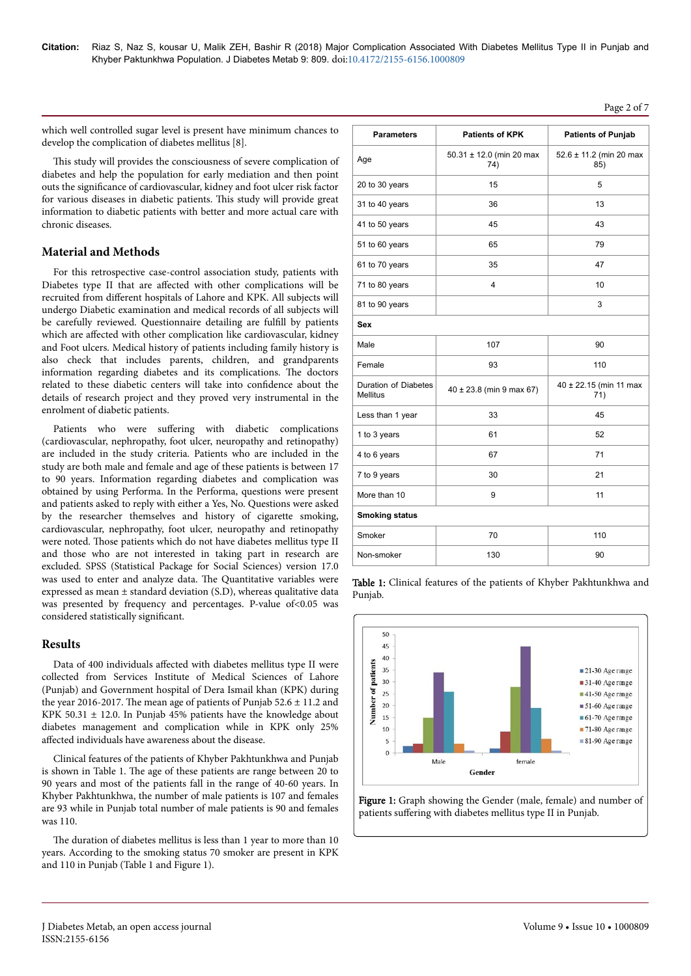# Page 2 of 7

which well controlled sugar level is present have minimum chances to develop the complication of diabetes mellitus [8].

This study will provides the consciousness of severe complication of diabetes and help the population for early mediation and then point outs the significance of cardiovascular, kidney and foot ulcer risk factor for various diseases in diabetic patients. Нis study will provide great information to diabetic patients with better and more actual care with chronic diseases.

# **Material and Methods**

For this retrospective case-control association study, patients with Diabetes type II that are affected with other complications will be recruited from different hospitals of Lahore and KPK. All subjects will undergo Diabetic examination and medical records of all subjects will be carefully reviewed. Questionnaire detailing are fulfill by patients which are affected with other complication like cardiovascular, kidney and Foot ulcers. Medical history of patients including family history is also check that includes parents, children, and grandparents information regarding diabetes and its complications. Нe doctors related to these diabetic centers will take into confidence about the details of research project and they proved very instrumental in the enrolment of diabetic patients.

Patients who were suffering with diabetic complications (cardiovascular, nephropathy, foot ulcer, neuropathy and retinopathy) are included in the study criteria. Patients who are included in the study are both male and female and age of these patients is between 17 to 90 years. Information regarding diabetes and complication was obtained by using Performa. In the Performa, questions were present and patients asked to reply with either a Yes, No. Questions were asked by the researcher themselves and history of cigarette smoking, cardiovascular, nephropathy, foot ulcer, neuropathy and retinopathy were noted. Нose patients which do not have diabetes mellitus type II and those who are not interested in taking part in research are excluded. SPSS (Statistical Package for Social Sciences) version 17.0 was used to enter and analyze data. Нe Quantitative variables were expressed as mean  $\pm$  standard deviation (S.D), whereas qualitative data was presented by frequency and percentages. P-value of <0.05 was considered statistically significant.

# **Results**

Data of 400 individuals affected with diabetes mellitus type II were collected from Services Institute of Medical Sciences of Lahore (Punjab) and Government hospital of Dera Ismail khan (KPK) during the year 2016-2017. The mean age of patients of Punjab  $52.6 \pm 11.2$  and KPK 50.31  $\pm$  12.0. In Punjab 45% patients have the knowledge about diabetes management and complication while in KPK only 25% affected individuals have awareness about the disease.

Clinical features of the patients of Khyber Pakhtunkhwa and Punjab is shown in Table 1. Нe age of these patients are range between 20 to 90 years and most of the patients fall in the range of 40-60 years. In Khyber Pakhtunkhwa, the number of male patients is 107 and females are 93 while in Punjab total number of male patients is 90 and females was 110.

The duration of diabetes mellitus is less than 1 year to more than 10 years. According to the smoking status 70 smoker are present in KPK and 110 in Punjab (Table 1 and Figure 1).

| <b>Parameters</b>                       | <b>Patients of KPK</b>          | <b>Patients of Punjab</b>      |  |  |  |
|-----------------------------------------|---------------------------------|--------------------------------|--|--|--|
| Age                                     | 50.31 ± 12.0 (min 20 max<br>74) | 52.6 ± 11.2 (min 20 max<br>85) |  |  |  |
| 20 to 30 years                          | 15                              | 5                              |  |  |  |
| 31 to 40 years                          | 36                              | 13                             |  |  |  |
| 41 to 50 years                          | 45                              | 43                             |  |  |  |
| 51 to 60 years                          | 65                              | 79                             |  |  |  |
| 61 to 70 years                          | 35                              | 47                             |  |  |  |
| 71 to 80 years                          | 4                               | 10                             |  |  |  |
| 81 to 90 years                          |                                 | 3                              |  |  |  |
| Sex                                     |                                 |                                |  |  |  |
| Male                                    | 107                             | 90                             |  |  |  |
| Female                                  | 93                              | 110                            |  |  |  |
| Duration of Diabetes<br><b>Mellitus</b> | $40 \pm 23.8$ (min 9 max 67)    | 40 ± 22.15 (min 11 max<br>71)  |  |  |  |
| Less than 1 year                        | 33                              | 45                             |  |  |  |
| 1 to 3 years                            | 61                              | 52                             |  |  |  |
| 4 to 6 years                            | 67                              | 71                             |  |  |  |
| 7 to 9 years                            | 30                              | 21                             |  |  |  |
| More than 10                            | 9                               | 11                             |  |  |  |
| <b>Smoking status</b>                   |                                 |                                |  |  |  |
| Smoker                                  | 70                              | 110                            |  |  |  |
| Non-smoker                              | 130                             | 90                             |  |  |  |

Table 1: Clinical features of the patients of Khyber Pakhtunkhwa and Punjab.



Figure 1: Graph showing the Gender (male, female) and number of patients suffering with diabetes mellitus type II in Punjab.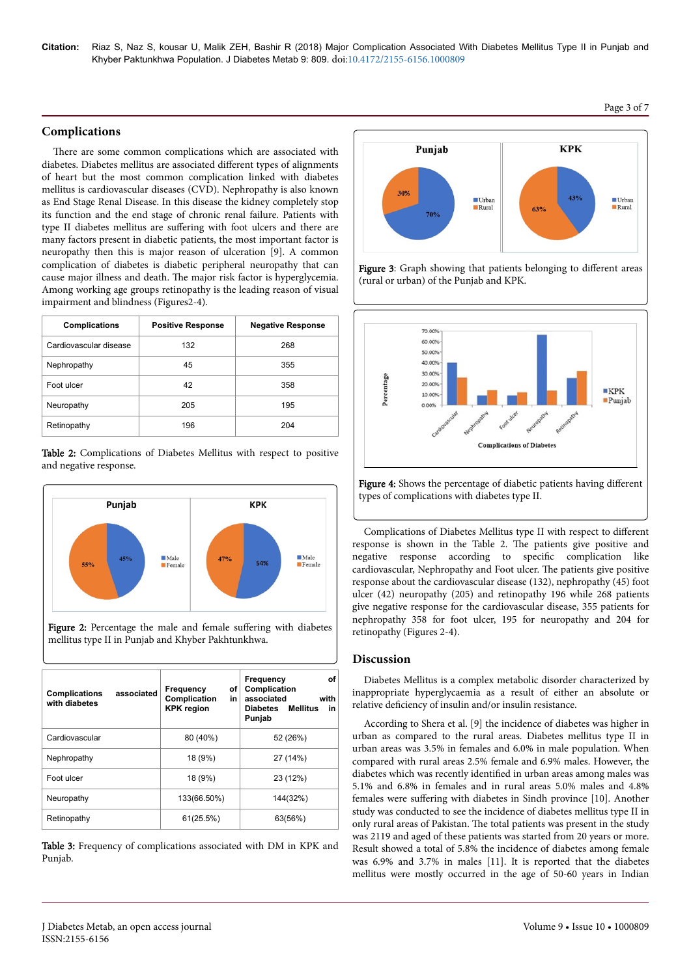**Citation:** Riaz S, Naz S, kousar U, Malik ZEH, Bashir R (2018) Major Complication Associated With Diabetes Mellitus Type II in Punjab and Khyber Paktunkhwa Population. J Diabetes Metab 9: 809. doi:10.4172/2155-6156.1000809

#### **Complications**

There are some common complications which are associated with diabetes. Diabetes mellitus are associated different types of alignments of heart but the most common complication linked with diabetes mellitus is cardiovascular diseases (CVD). Nephropathy is also known as End Stage Renal Disease. In this disease the kidney completely stop its function and the end stage of chronic renal failure. Patients with type II diabetes mellitus are suffering with foot ulcers and there are many factors present in diabetic patients, the most important factor is neuropathy then this is major reason of ulceration [9]. A common complication of diabetes is diabetic peripheral neuropathy that can cause major illness and death. Нe major risk factor is hyperglycemia. Among working age groups retinopathy is the leading reason of visual impairment and blindness (Figures2-4).

| <b>Complications</b>   | <b>Positive Response</b> | <b>Negative Response</b> |
|------------------------|--------------------------|--------------------------|
| Cardiovascular disease | 132                      | 268                      |
| Nephropathy            | 45                       | 355                      |
| Foot ulcer             | 42                       | 358                      |
| Neuropathy             | 205                      | 195                      |
| Retinopathy            | 196                      | 204                      |

Table 2: Complications of Diabetes Mellitus with respect to positive and negative response.



Figure 2: Percentage the male and female suffering with diabetes mellitus type II in Punjab and Khyber Pakhtunkhwa.

| <b>Complications</b><br>with diabetes | associated | Frequency<br>οf<br>in<br>Complication<br><b>KPK</b> region | Frequency<br>οf<br>Complication<br>associated<br>with<br>Diabetes Mellitus<br>in<br>Punjab |
|---------------------------------------|------------|------------------------------------------------------------|--------------------------------------------------------------------------------------------|
| Cardiovascular                        |            | 80 (40%)                                                   | 52 (26%)                                                                                   |
| Nephropathy                           |            | 18 (9%)                                                    | 27 (14%)                                                                                   |
| Foot ulcer                            |            | 18 (9%)                                                    | 23 (12%)                                                                                   |
| Neuropathy                            |            | 133(66.50%)                                                | 144(32%)                                                                                   |
| Retinopathy                           |            | 61(25.5%)                                                  | 63(56%)                                                                                    |

Table 3: Frequency of complications associated with DM in KPK and Punjab.







Figure 4: Shows the percentage of diabetic patients having different types of complications with diabetes type II.

Complications of Diabetes Mellitus type II with respect to different response is shown in the Table 2. Нe patients give positive and negative response according to specific complication like cardiovascular, Nephropathy and Foot ulcer. Нe patients give positive response about the cardiovascular disease (132), nephropathy (45) foot ulcer (42) neuropathy (205) and retinopathy 196 while 268 patients give negative response for the cardiovascular disease, 355 patients for nephropathy 358 for foot ulcer, 195 for neuropathy and 204 for retinopathy (Figures 2-4).

#### **Discussion**

Diabetes Mellitus is a complex metabolic disorder characterized by inappropriate hyperglycaemia as a result of either an absolute or relative deficiency of insulin and/or insulin resistance.

According to Shera et al. [9] the incidence of diabetes was higher in urban as compared to the rural areas. Diabetes mellitus type II in urban areas was 3.5% in females and 6.0% in male population. When compared with rural areas 2.5% female and 6.9% males. However, the diabetes which was recently identified in urban areas among males was 5.1% and 6.8% in females and in rural areas 5.0% males and 4.8% females were suffering with diabetes in Sindh province [10]. Another study was conducted to see the incidence of diabetes mellitus type II in only rural areas of Pakistan. Нe total patients was present in the study was 2119 and aged of these patients was started from 20 years or more. Result showed a total of 5.8% the incidence of diabetes among female was 6.9% and 3.7% in males [11]. It is reported that the diabetes mellitus were mostly occurred in the age of 50-60 years in Indian

#### Page 3 of 7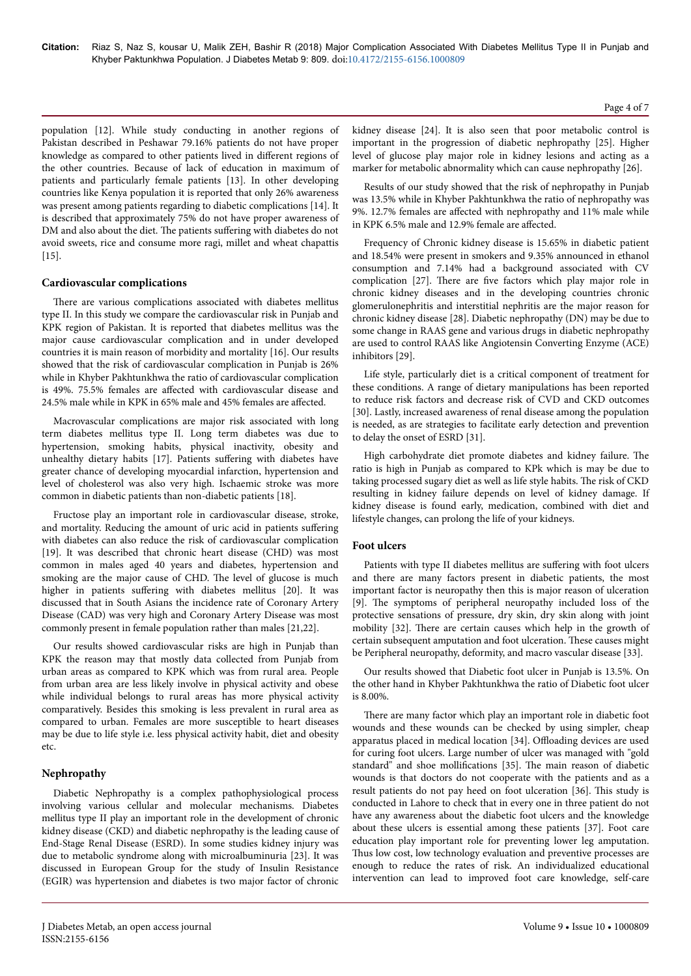population [12]. While study conducting in another regions of Pakistan described in Peshawar 79.16% patients do not have proper knowledge as compared to other patients lived in different regions of the other countries. Because of lack of education in maximum of patients and particularly female patients [13]. In other developing countries like Kenya population it is reported that only 26% awareness was present among patients regarding to diabetic complications [14]. It is described that approximately 75% do not have proper awareness of DM and also about the diet. The patients suffering with diabetes do not avoid sweets, rice and consume more ragi, millet and wheat chapattis [15].

#### **Cardiovascular complications**

There are various complications associated with diabetes mellitus type II. In this study we compare the cardiovascular risk in Punjab and KPK region of Pakistan. It is reported that diabetes mellitus was the major cause cardiovascular complication and in under developed countries it is main reason of morbidity and mortality [16]. Our results showed that the risk of cardiovascular complication in Punjab is 26% while in Khyber Pakhtunkhwa the ratio of cardiovascular complication is 49%. 75.5% females are affected with cardiovascular disease and 24.5% male while in KPK in 65% male and 45% females are affected.

Macrovascular complications are major risk associated with long term diabetes mellitus type II. Long term diabetes was due to hypertension, smoking habits, physical inactivity, obesity and unhealthy dietary habits [17]. Patients suffering with diabetes have greater chance of developing myocardial infarction, hypertension and level of cholesterol was also very high. Ischaemic stroke was more common in diabetic patients than non-diabetic patients [18].

Fructose play an important role in cardiovascular disease, stroke, and mortality. Reducing the amount of uric acid in patients suffering with diabetes can also reduce the risk of cardiovascular complication [19]. It was described that chronic heart disease (CHD) was most common in males aged 40 years and diabetes, hypertension and smoking are the major cause of CHD. Нe level of glucose is much higher in patients suffering with diabetes mellitus [20]. It was discussed that in South Asians the incidence rate of Coronary Artery Disease (CAD) was very high and Coronary Artery Disease was most commonly present in female population rather than males [21,22].

Our results showed cardiovascular risks are high in Punjab than KPK the reason may that mostly data collected from Punjab from urban areas as compared to KPK which was from rural area. People from urban area are less likely involve in physical activity and obese while individual belongs to rural areas has more physical activity comparatively. Besides this smoking is less prevalent in rural area as compared to urban. Females are more susceptible to heart diseases may be due to life style i.e. less physical activity habit, diet and obesity etc.

# **Nephropathy**

Diabetic Nephropathy is a complex pathophysiological process involving various cellular and molecular mechanisms. Diabetes mellitus type II play an important role in the development of chronic kidney disease (CKD) and diabetic nephropathy is the leading cause of End-Stage Renal Disease (ESRD). In some studies kidney injury was due to metabolic syndrome along with microalbuminuria [23]. It was discussed in European Group for the study of Insulin Resistance (EGIR) was hypertension and diabetes is two major factor of chronic kidney disease [24]. It is also seen that poor metabolic control is important in the progression of diabetic nephropathy [25]. Higher level of glucose play major role in kidney lesions and acting as a marker for metabolic abnormality which can cause nephropathy [26].

Results of our study showed that the risk of nephropathy in Punjab was 13.5% while in Khyber Pakhtunkhwa the ratio of nephropathy was 9%. 12.7% females are affected with nephropathy and 11% male while in KPK 6.5% male and 12.9% female are affected.

Frequency of Chronic kidney disease is 15.65% in diabetic patient and 18.54% were present in smokers and 9.35% announced in ethanol consumption and 7.14% had a background associated with CV complication [27]. Нere are five factors which play major role in chronic kidney diseases and in the developing countries chronic glomerulonephritis and interstitial nephritis are the major reason for chronic kidney disease [28]. Diabetic nephropathy (DN) may be due to some change in RAAS gene and various drugs in diabetic nephropathy are used to control RAAS like Angiotensin Converting Enzyme (ACE) inhibitors [29].

Life style, particularly diet is a critical component of treatment for these conditions. A range of dietary manipulations has been reported to reduce risk factors and decrease risk of CVD and CKD outcomes [30]. Lastly, increased awareness of renal disease among the population is needed, as are strategies to facilitate early detection and prevention to delay the onset of ESRD [31].

High carbohydrate diet promote diabetes and kidney failure. Нe ratio is high in Punjab as compared to KPk which is may be due to taking processed sugary diet as well as life style habits. Нe risk of CKD resulting in kidney failure depends on level of kidney damage. If kidney disease is found early, medication, combined with diet and lifestyle changes, can prolong the life of your kidneys.

# **Foot ulcers**

Patients with type II diabetes mellitus are suffering with foot ulcers and there are many factors present in diabetic patients, the most important factor is neuropathy then this is major reason of ulceration [9]. Нe symptoms of peripheral neuropathy included loss of the protective sensations of pressure, dry skin, dry skin along with joint mobility [32]. Нere are certain causes which help in the growth of certain subsequent amputation and foot ulceration. Нese causes might be Peripheral neuropathy, deformity, and macro vascular disease [33].

Our results showed that Diabetic foot ulcer in Punjab is 13.5%. On the other hand in Khyber Pakhtunkhwa the ratio of Diabetic foot ulcer is 8.00%.

There are many factor which play an important role in diabetic foot wounds and these wounds can be checked by using simpler, cheap apparatus placed in medical location [34]. Offloading devices are used for curing foot ulcers. Large number of ulcer was managed with "gold standard" and shoe mollifications [35]. The main reason of diabetic wounds is that doctors do not cooperate with the patients and as a result patients do not pay heed on foot ulceration [36]. Нis study is conducted in Lahore to check that in every one in three patient do not have any awareness about the diabetic foot ulcers and the knowledge about these ulcers is essential among these patients [37]. Foot care education play important role for preventing lower leg amputation. Thus low cost, low technology evaluation and preventive processes are enough to reduce the rates of risk. An individualized educational intervention can lead to improved foot care knowledge, self-care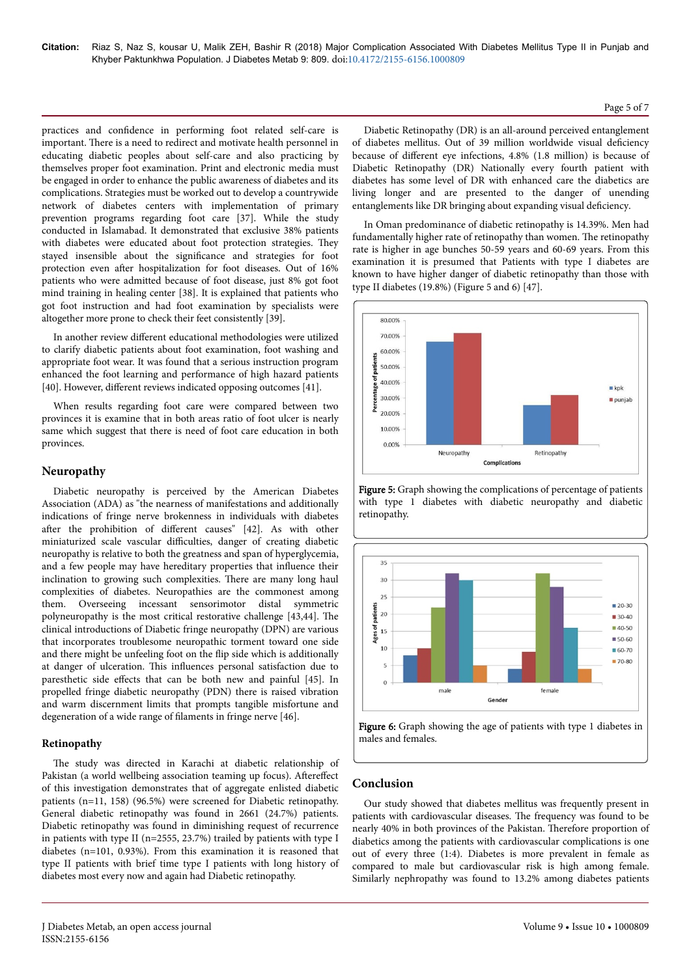practices and confidence in performing foot related self-care is important. Нere is a need to redirect and motivate health personnel in educating diabetic peoples about self-care and also practicing by themselves proper foot examination. Print and electronic media must be engaged in order to enhance the public awareness of diabetes and its complications. Strategies must be worked out to develop a countrywide network of diabetes centers with implementation of primary prevention programs regarding foot care [37]. While the study conducted in Islamabad. It demonstrated that exclusive 38% patients with diabetes were educated about foot protection strategies. They stayed insensible about the significance and strategies for foot protection even after hospitalization for foot diseases. Out of 16% patients who were admitted because of foot disease, just 8% got foot mind training in healing center [38]. It is explained that patients who got foot instruction and had foot examination by specialists were altogether more prone to check their feet consistently [39].

In another review different educational methodologies were utilized to clarify diabetic patients about foot examination, foot washing and appropriate foot wear. It was found that a serious instruction program enhanced the foot learning and performance of high hazard patients [40]. However, different reviews indicated opposing outcomes [41].

When results regarding foot care were compared between two provinces it is examine that in both areas ratio of foot ulcer is nearly same which suggest that there is need of foot care education in both provinces.

# **Neuropathy**

Diabetic neuropathy is perceived by the American Diabetes Association (ADA) as "the nearness of manifestations and additionally indications of fringe nerve brokenness in individuals with diabetes after the prohibition of different causes" [42]. As with other miniaturized scale vascular difficulties, danger of creating diabetic neuropathy is relative to both the greatness and span of hyperglycemia, and a few people may have hereditary properties that influence their inclination to growing such complexities. Нere are many long haul complexities of diabetes. Neuropathies are the commonest among them. Overseeing incessant sensorimotor distal symmetric polyneuropathy is the most critical restorative challenge [43,44]. Нe clinical introductions of Diabetic fringe neuropathy (DPN) are various that incorporates troublesome neuropathic torment toward one side and there might be unfeeling foot on the flip side which is additionally at danger of ulceration. Нis influences personal satisfaction due to paresthetic side effects that can be both new and painful [45]. In propelled fringe diabetic neuropathy (PDN) there is raised vibration and warm discernment limits that prompts tangible misfortune and degeneration of a wide range of filaments in fringe nerve [46].

# **Retinopathy**

The study was directed in Karachi at diabetic relationship of Pakistan (a world wellbeing association teaming up focus). Aftereffect of this investigation demonstrates that of aggregate enlisted diabetic patients (n=11, 158) (96.5%) were screened for Diabetic retinopathy. General diabetic retinopathy was found in 2661 (24.7%) patients. Diabetic retinopathy was found in diminishing request of recurrence in patients with type II (n=2555, 23.7%) trailed by patients with type I diabetes (n=101, 0.93%). From this examination it is reasoned that type II patients with brief time type I patients with long history of diabetes most every now and again had Diabetic retinopathy.

Diabetic Retinopathy (DR) is an all-around perceived entanglement of diabetes mellitus. Out of 39 million worldwide visual deficienc\ because of different eye infections, 4.8% (1.8 million) is because of Diabetic Retinopathy (DR) Nationally every fourth patient with diabetes has some level of DR with enhanced care the diabetics are living longer and are presented to the danger of unending entanglements like DR bringing about expanding visual deficiency.

In Oman predominance of diabetic retinopathy is 14.39%. Men had fundamentally higher rate of retinopathy than women. Нe retinopathy rate is higher in age bunches 50-59 years and 60-69 years. From this examination it is presumed that Patients with type I diabetes are known to have higher danger of diabetic retinopathy than those with type II diabetes (19.8%) (Figure 5 and 6) [47].



Figure 5: Graph showing the complications of percentage of patients with type 1 diabetes with diabetic neuropathy and diabetic retinopathy.





# **Conclusion**

Our study showed that diabetes mellitus was frequently present in patients with cardiovascular diseases. Нe frequency was found to be nearly 40% in both provinces of the Pakistan. Нerefore proportion of diabetics among the patients with cardiovascular complications is one out of every three (1:4). Diabetes is more prevalent in female as compared to male but cardiovascular risk is high among female. Similarly nephropathy was found to 13.2% among diabetes patients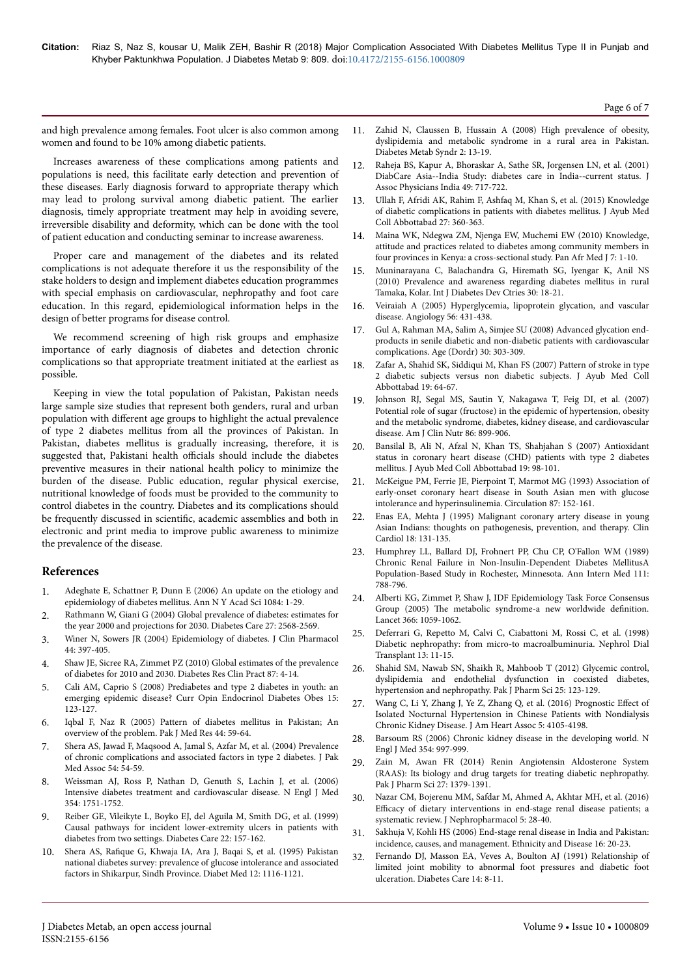Page 6 of 7

and high prevalence among females. Foot ulcer is also common among women and found to be 10% among diabetic patients.

Increases awareness of these complications among patients and populations is need, this facilitate early detection and prevention of these diseases. Early diagnosis forward to appropriate therapy which may lead to prolong survival among diabetic patient. Нe earlier diagnosis, timely appropriate treatment may help in avoiding severe, irreversible disability and deformity, which can be done with the tool of patient education and conducting seminar to increase awareness.

Proper care and management of the diabetes and its related complications is not adequate therefore it us the responsibility of the stake holders to design and implement diabetes education programmes with special emphasis on cardiovascular, nephropathy and foot care education. In this regard, epidemiological information helps in the design of better programs for disease control.

We recommend screening of high risk groups and emphasize importance of early diagnosis of diabetes and detection chronic complications so that appropriate treatment initiated at the earliest as possible.

Keeping in view the total population of Pakistan, Pakistan needs large sample size studies that represent both genders, rural and urban population with different age groups to highlight the actual prevalence of type 2 diabetes mellitus from all the provinces of Pakistan. In Pakistan, diabetes mellitus is gradually increasing, therefore, it is suggested that, Pakistani health officials should include the diabetes preventive measures in their national health policy to minimize the burden of the disease. Public education, regular physical exercise, nutritional knowledge of foods must be provided to the community to control diabetes in the country. Diabetes and its complications should be frequently discussed in scientific, academic assemblies and both in electronic and print media to improve public awareness to minimize the prevalence of the disease.

#### **References**

- [Adeghate E, Schattner P, Dunn E \(2006\) An update on the etiology and](https://doi.org/10.1196/annals.1372.029) [epidemiology of diabetes mellitus. Ann N Y Acad Sci 1084: 1-29.](https://doi.org/10.1196/annals.1372.029)
- 2. [Rathmann W, Giani G \(2004\) Global prevalence of diabetes: estimates for](https://doi.org/10.2337/diacare.27.10.2568) [the year 2000 and projections for 2030. Diabetes Care 27: 2568-2569.](https://doi.org/10.2337/diacare.27.10.2568)
- 3. [Winer N, Sowers JR \(2004\) Epidemiology of diabetes. J Clin Pharmacol](https://doi.org/10.1177/0091270004263017) [44: 397-405.](https://doi.org/10.1177/0091270004263017)
- 4. [Shaw JE, Sicree RA, Zimmet PZ \(2010\) Global estimates of the prevalence](https://doi.org/10.1016/j.diabres.2009.10.007) [of diabetes for 2010 and 2030. Diabetes Res Clin Pract 87: 4-14.](https://doi.org/10.1016/j.diabres.2009.10.007)
- 5. [Cali AM, Caprio S \(2008\) Prediabetes and type 2 diabetes in youth: an](https://doi.org/10.1097/MED.0b013e3282f57251) [emerging epidemic disease? Curr Opin Endocrinol Diabetes Obes 15:](https://doi.org/10.1097/MED.0b013e3282f57251) [123-127.](https://doi.org/10.1097/MED.0b013e3282f57251)
- 6. [Iqbal F, Naz R \(2005\) Pattern of diabetes mellitus in Pakistan; An](http://www.pakmedinet.com/7307) [overview of the problem. Pak J Med Res 44: 59-64.](http://www.pakmedinet.com/7307)
- 7. [Shera AS, Jawad F, Maqsood A, Jamal S, Azfar M, et al. \(2004\) Prevalence](http://jpma.org.pk/full_article_text.php?article_id=337) [of chronic complications and associated factors in type 2 diabetes. J Pak](http://jpma.org.pk/full_article_text.php?article_id=337) [Med Assoc 54: 54-59.](http://jpma.org.pk/full_article_text.php?article_id=337)
- 8. [Weissman AJ, Ross P, Nathan D, Genuth S, Lachin J, et al. \(2006\)](http://dx.doi.org/10.1056/NEJMc060105) [Intensive diabetes treatment and cardiovascular disease. N Engl J Med](http://dx.doi.org/10.1056/NEJMc060105) [354: 1751-1752.](http://dx.doi.org/10.1056/NEJMc060105)
- 9. [Reiber GE, Vileikyte L, Boyko EJ, del Aguila M, Smith DG, et al. \(1999\)](https://doi.org/10.2337/diacare.22.1.157) [Causal pathways for incident lower-extremity ulcers in patients with](https://doi.org/10.2337/diacare.22.1.157) [diabetes from two settings. Diabetes Care 22: 157-162.](https://doi.org/10.2337/diacare.22.1.157)
- 10. Shera AS, Rafique [G, Khwaja IA, Ara J, Baqai S, et al. \(1995\) Pakistan](https://www.ncbi.nlm.nih.gov/pubmed/8750223) [national diabetes survey: prevalence of glucose intolerance and associated](https://www.ncbi.nlm.nih.gov/pubmed/8750223) [factors in Shikarpur, Sindh Province. Diabet Med 12: 1116-1121.](https://www.ncbi.nlm.nih.gov/pubmed/8750223)
- 11. [Zahid N, Claussen B, Hussain A \(2008\) High prevalence of obesity,](https://doi.org/10.1016/j.dsx.2007.11.001) [dyslipidemia and metabolic syndrome in a rural area in Pakistan.](https://doi.org/10.1016/j.dsx.2007.11.001) [Diabetes Metab Syndr 2: 13-19.](https://doi.org/10.1016/j.dsx.2007.11.001)
- 12. [Raheja BS, Kapur A, Bhoraskar A, Sathe SR, Jorgensen LN, et al. \(2001\)](https://www.ncbi.nlm.nih.gov/pubmed/11573557) [DiabCare Asia--India Study: diabetes care in India--current status. J](https://www.ncbi.nlm.nih.gov/pubmed/11573557) [Assoc Physicians India 49: 717-722.](https://www.ncbi.nlm.nih.gov/pubmed/11573557)
- 13. [Ullah F, Afridi AK, Rahim F, Ashfaq M, Khan S, et al. \(2015\) Knowledge](http://ayubmed.edu.pk/JAMC/27-1/index.html) [of diabetic complications in patients with diabetes mellitus. J Ayub Med](http://ayubmed.edu.pk/JAMC/27-1/index.html) [Coll Abbottabad 27: 360-363.](http://ayubmed.edu.pk/JAMC/27-1/index.html)
- 14. [Maina WK, Ndegwa ZM, Njenga EW, Muchemi EW \(2010\) Knowledge,](https://www.dx.doi.org/10.11604/pamj.2010.7.2.283) [attitude and practices related to diabetes among community members in](https://www.dx.doi.org/10.11604/pamj.2010.7.2.283) [four provinces in Kenya: a cross-sectional study. Pan Afr Med J 7: 1-10.](https://www.dx.doi.org/10.11604/pamj.2010.7.2.283)
- 15. [Muninarayana C, Balachandra G, Hiremath SG, Iyengar K, Anil NS](https://doi.org/10.4103/0973-3930.60005) [\(2010\) Prevalence and awareness regarding diabetes mellitus in rural](https://doi.org/10.4103/0973-3930.60005) [Tamaka, Kolar. Int J Diabetes Dev Ctries 30: 18-21.](https://doi.org/10.4103/0973-3930.60005)
- 16. [Veiraiah A \(2005\) Hyperglycemia, lipoprotein glycation, and vascular](https://doi.org/10.1177/000331970505600411) [disease. Angiology 56: 431-438.](https://doi.org/10.1177/000331970505600411)
- 17. [Gul A, Rahman MA, Salim A, Simjee SU \(2008\) Advanced glycation end](https://doi.org/10.1007/s11357-008-9072-1)[products in senile diabetic and non-diabetic patients with cardiovascular](https://doi.org/10.1007/s11357-008-9072-1) [complications. Age \(Dordr\) 30: 303-309.](https://doi.org/10.1007/s11357-008-9072-1)
- 18. [Zafar A, Shahid SK, Siddiqui M, Khan FS \(2007\) Pattern of stroke in type](http://ayubmed.edu.pk/JAMC/PAST/19-4/17-Azra%20Zafar-Stroke%20Diabetes.pdf) [2 diabetic subjects versus non diabetic subjects. J Ayub Med Coll](http://ayubmed.edu.pk/JAMC/PAST/19-4/17-Azra%20Zafar-Stroke%20Diabetes.pdf) [Abbottabad 19: 64-67.](http://ayubmed.edu.pk/JAMC/PAST/19-4/17-Azra%20Zafar-Stroke%20Diabetes.pdf)
- 19. [Johnson RJ, Segal MS, Sautin Y, Nakagawa T, Feig DI, et al. \(2007\)](https://doi.org/10.1093/ajcn/86.4.899) [Potential role of sugar \(fructose\) in the epidemic of hypertension, obesity](https://doi.org/10.1093/ajcn/86.4.899) [and the metabolic syndrome, diabetes, kidney disease, and cardiovascular](https://doi.org/10.1093/ajcn/86.4.899) [disease. Am J Clin Nutr 86: 899-906.](https://doi.org/10.1093/ajcn/86.4.899)
- 20. [Bansilal B, Ali N, Afzal N, Khan TS, Shahjahan S \(2007\) Antioxidant](http://ayubmed.edu.pk/JAMC/PAST/19-4/26-Naeema%20Bansilal-CHD%20T2DM.pdf) [status in coronary heart disease \(CHD\) patients with type 2 diabetes](http://ayubmed.edu.pk/JAMC/PAST/19-4/26-Naeema%20Bansilal-CHD%20T2DM.pdf) [mellitus. J Ayub Med Coll Abbottabad 19: 98-101.](http://ayubmed.edu.pk/JAMC/PAST/19-4/26-Naeema%20Bansilal-CHD%20T2DM.pdf)
- 21. [McKeigue PM, Ferrie JE, Pierpoint T, Marmot MG \(1993\) Association of](https://www.semanticscholar.org/paper/Association-of-early-onset-coronary-heart-disease-McKeigue-Ferrie/520dceb9f6eb98372b9ab86956a41ea20dfc2c68) [early-onset coronary heart disease in South Asian men with glucose](https://www.semanticscholar.org/paper/Association-of-early-onset-coronary-heart-disease-McKeigue-Ferrie/520dceb9f6eb98372b9ab86956a41ea20dfc2c68) [intolerance and hyperinsulinemia. Circulation 87: 152-161.](https://www.semanticscholar.org/paper/Association-of-early-onset-coronary-heart-disease-McKeigue-Ferrie/520dceb9f6eb98372b9ab86956a41ea20dfc2c68)
- 22. [Enas EA, Mehta J \(1995\) Malignant coronary artery disease in young](https://doi.org/10.1002/clc.4960180305) [Asian Indians: thoughts on pathogenesis, prevention, and therapy. Clin](https://doi.org/10.1002/clc.4960180305) [Cardiol 18: 131-135.](https://doi.org/10.1002/clc.4960180305)
- 23. [Humphrey LL, Ballard DJ, Frohnert PP, Chu CP, O'Fallon WM \(1989\)](http://dx.doi.org/10.7326/0003-4819-111-10-788) [Chronic Renal Failure in Non-Insulin-Dependent Diabetes MellitusA](http://dx.doi.org/10.7326/0003-4819-111-10-788) [Population-Based Study in Rochester, Minnesota. Ann Intern Med 111:](http://dx.doi.org/10.7326/0003-4819-111-10-788) [788-796.](http://dx.doi.org/10.7326/0003-4819-111-10-788)
- 24. [Alberti KG, Zimmet P, Shaw J, IDF Epidemiology Task Force Consensus](https://doi.org/10.1016/S0140-6736(05)67402-8) Group (2005) Нe [metabolic syndrome-a new worldwide](https://doi.org/10.1016/S0140-6736(05)67402-8) definition [Lancet 366: 1059-1062.](https://doi.org/10.1016/S0140-6736(05)67402-8)
- 25. [Deferrari G, Repetto M, Calvi C, Ciabattoni M, Rossi C, et al. \(1998\)](https://doi.org/10.1093/ndt/13.suppl_8.11) [Diabetic nephropathy: from micro-to macroalbuminuria. Nephrol Dial](https://doi.org/10.1093/ndt/13.suppl_8.11) [Transplant 13: 11-15.](https://doi.org/10.1093/ndt/13.suppl_8.11)
- 26. [Shahid SM, Nawab SN, Shaikh R, Mahboob T \(2012\) Glycemic control,](https://www.semanticscholar.org/paper/Glycemic-control%2C-dyslipidemia-and-endothelial-in-Shahid-Nawab/b36f3457e952311fffe2639f8c7385814e772a3d) [dyslipidemia and endothelial dysfunction in coexisted diabetes,](https://www.semanticscholar.org/paper/Glycemic-control%2C-dyslipidemia-and-endothelial-in-Shahid-Nawab/b36f3457e952311fffe2639f8c7385814e772a3d) [hypertension and nephropathy. Pak J Pharm Sci 25: 123-129.](https://www.semanticscholar.org/paper/Glycemic-control%2C-dyslipidemia-and-endothelial-in-Shahid-Nawab/b36f3457e952311fffe2639f8c7385814e772a3d)
- 27. [Wang C, Li Y, Zhang J, Ye Z, Zhang Q, et al. \(2016\) Prognostic](https://doi.org/10.1161/JAHA.116.004198) Effect of [Isolated Nocturnal Hypertension in Chinese Patients with Nondialysis](https://doi.org/10.1161/JAHA.116.004198) [Chronic Kidney Disease. J Am Heart Assoc 5: 4105-4198.](https://doi.org/10.1161/JAHA.116.004198)
- 28. [Barsoum RS \(2006\) Chronic kidney disease in the developing world. N](https://doi.org/10.1056/NEJMp058318) [Engl J Med 354: 997-999.](https://doi.org/10.1056/NEJMp058318)
- 29. [Zain M, Awan FR \(2014\) Renin Angiotensin Aldosterone System](https://www.semanticscholar.org/paper/Renin-Angiotensin-Aldosterone-System-(RAAS)%3A-its-Zain-Awan/85873c88e16d760f9682d9ee24764c38113c6269) [\(RAAS\): Its biology and drug targets for treating diabetic nephropathy.](https://www.semanticscholar.org/paper/Renin-Angiotensin-Aldosterone-System-(RAAS)%3A-its-Zain-Awan/85873c88e16d760f9682d9ee24764c38113c6269) [Pak J Pharm Sci 27: 1379-1391.](https://www.semanticscholar.org/paper/Renin-Angiotensin-Aldosterone-System-(RAAS)%3A-its-Zain-Awan/85873c88e16d760f9682d9ee24764c38113c6269)
- 30. [Nazar CM, Bojerenu MM, Safdar M, Ahmed A, Akhtar MH, et al. \(2016\)](https://www.ncbi.nlm.nih.gov/pmc/articles/PMC5297504/) Efficacy [of dietary interventions in end-stage renal disease patients; a](https://www.ncbi.nlm.nih.gov/pmc/articles/PMC5297504/) [systematic review. J Nephropharmacol 5: 28-40.](https://www.ncbi.nlm.nih.gov/pmc/articles/PMC5297504/)
- 31. [Sakhuja V, Kohli HS \(2006\) End-stage renal disease in India and Pakistan:](https://pdfs.semanticscholar.org/ddcf/ead5a50bbf7bc74851539118c9d59f5512be.pdf) [incidence, causes, and management. Ethnicity and Disease 16: 20-23.](https://pdfs.semanticscholar.org/ddcf/ead5a50bbf7bc74851539118c9d59f5512be.pdf)
- 32. [Fernando DJ, Masson EA, Veves A, Boulton AJ \(1991\) Relationship of](https://doi.org/10.2337/diacare.14.1.8) [limited joint mobility to abnormal foot pressures and diabetic foot](https://doi.org/10.2337/diacare.14.1.8) [ulceration. Diabetes Care 14: 8-11.](https://doi.org/10.2337/diacare.14.1.8)